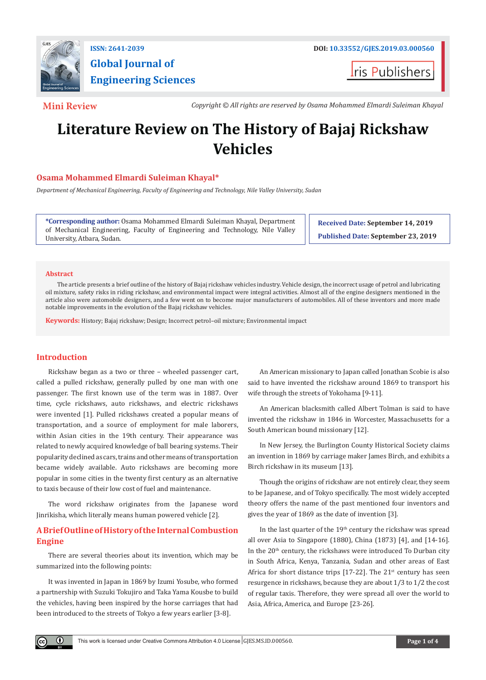

**Global Journal of Engineering Sciences**

**t**ris Publishers

**Mini Review** *Copyright © All rights are reserved by Osama Mohammed Elmardi Suleiman Khayal*

# **Literature Review on The History of Bajaj Rickshaw Vehicles**

# **Osama Mohammed Elmardi Suleiman Khayal\***

*Department of Mechanical Engineering, Faculty of Engineering and Technology, Nile Valley University, Sudan*

**\*Corresponding author:** Osama Mohammed Elmardi Suleiman Khayal, Department of Mechanical Engineering, Faculty of Engineering and Technology, Nile Valley University, Atbara, Sudan.

**Received Date: September 14, 2019 Published Date: September 23, 2019**

#### **Abstract**

The article presents a brief outline of the history of Bajaj rickshaw vehicles industry. Vehicle design, the incorrect usage of petrol and lubricating oil mixture, safety risks in riding rickshaw, and environmental impact were integral activities. Almost all of the engine designers mentioned in the article also were automobile designers, and a few went on to become major manufacturers of automobiles. All of these inventors and more made notable improvements in the evolution of the Bajaj rickshaw vehicles.

**Keywords:** History; Bajaj rickshaw; Design; Incorrect petrol–oil mixture; Environmental impact

## **Introduction**

O.

Rickshaw began as a two or three – wheeled passenger cart, called a pulled rickshaw, generally pulled by one man with one passenger. The first known use of the term was in 1887. Over time, cycle rickshaws, auto rickshaws, and electric rickshaws were invented [1]. Pulled rickshaws created a popular means of transportation, and a source of employment for male laborers, within Asian cities in the 19th century. Their appearance was related to newly acquired knowledge of ball bearing systems. Their popularity declined as cars, trains and other means of transportation became widely available. Auto rickshaws are becoming more popular in some cities in the twenty first century as an alternative to taxis because of their low cost of fuel and maintenance.

The word rickshaw originates from the Japanese word Jinrikisha, which literally means human powered vehicle [2].

# **A Brief Outline of History of the Internal Combustion Engine**

There are several theories about its invention, which may be summarized into the following points:

It was invented in Japan in 1869 by Izumi Yosube, who formed a partnership with Suzuki Tokujiro and Taka Yama Kousbe to build the vehicles, having been inspired by the horse carriages that had been introduced to the streets of Tokyo a few years earlier [3-8].

An American missionary to Japan called Jonathan Scobie is also said to have invented the rickshaw around 1869 to transport his wife through the streets of Yokohama [9-11].

An American blacksmith called Albert Tolman is said to have invented the rickshaw in 1846 in Worcester, Massachusetts for a South American bound missionary [12].

In New Jersey, the Burlington County Historical Society claims an invention in 1869 by carriage maker James Birch, and exhibits a Birch rickshaw in its museum [13].

Though the origins of rickshaw are not entirely clear, they seem to be Japanese, and of Tokyo specifically. The most widely accepted theory offers the name of the past mentioned four inventors and gives the year of 1869 as the date of invention [3].

In the last quarter of the 19<sup>th</sup> century the rickshaw was spread all over Asia to Singapore (1880), China (1873) [4], and [14-16]. In the 20<sup>th</sup> century, the rickshaws were introduced To Durban city in South Africa, Kenya, Tanzania, Sudan and other areas of East Africa for short distance trips [17-22]. The  $21^{st}$  century has seen resurgence in rickshaws, because they are about 1/3 to 1/2 the cost of regular taxis. Therefore, they were spread all over the world to Asia, Africa, America, and Europe [23-26].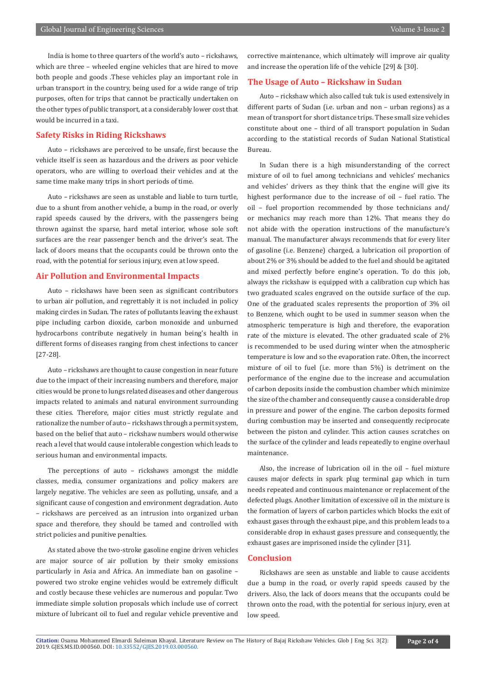India is home to three quarters of the world's auto – rickshaws, which are three – wheeled engine vehicles that are hired to move both people and goods .These vehicles play an important role in urban transport in the country, being used for a wide range of trip purposes, often for trips that cannot be practically undertaken on the other types of public transport, at a considerably lower cost that would be incurred in a taxi.

### **Safety Risks in Riding Rickshaws**

Auto – rickshaws are perceived to be unsafe, first because the vehicle itself is seen as hazardous and the drivers as poor vehicle operators, who are willing to overload their vehicles and at the same time make many trips in short periods of time.

Auto – rickshaws are seen as unstable and liable to turn turtle, due to a shunt from another vehicle, a bump in the road, or overly rapid speeds caused by the drivers, with the passengers being thrown against the sparse, hard metal interior, whose sole soft surfaces are the rear passenger bench and the driver's seat. The lack of doors means that the occupants could be thrown onto the road, with the potential for serious injury, even at low speed.

#### **Air Pollution and Environmental Impacts**

Auto – rickshaws have been seen as significant contributors to urban air pollution, and regrettably it is not included in policy making circles in Sudan. The rates of pollutants leaving the exhaust pipe including carbon dioxide, carbon monoxide and unburned hydrocarbons contribute negatively in human being's health in different forms of diseases ranging from chest infections to cancer [27-28].

Auto – rickshaws are thought to cause congestion in near future due to the impact of their increasing numbers and therefore, major cities would be prone to lungs related diseases and other dangerous impacts related to animals and natural environment surrounding these cities. Therefore, major cities must strictly regulate and rationalize the number of auto – rickshaws through a permit system, based on the belief that auto – rickshaw numbers would otherwise reach a level that would cause intolerable congestion which leads to serious human and environmental impacts.

The perceptions of auto – rickshaws amongst the middle classes, media, consumer organizations and policy makers are largely negative. The vehicles are seen as polluting, unsafe, and a significant cause of congestion and environment degradation. Auto – rickshaws are perceived as an intrusion into organized urban space and therefore, they should be tamed and controlled with strict policies and punitive penalties.

As stated above the two-stroke gasoline engine driven vehicles are major source of air pollution by their smoky emissions particularly in Asia and Africa. An immediate ban on gasoline – powered two stroke engine vehicles would be extremely difficult and costly because these vehicles are numerous and popular. Two immediate simple solution proposals which include use of correct mixture of lubricant oil to fuel and regular vehicle preventive and

corrective maintenance, which ultimately will improve air quality and increase the operation life of the vehicle [29] & [30].

#### **The Usage of Auto – Rickshaw in Sudan**

Auto – rickshaw which also called tuk tuk is used extensively in different parts of Sudan (i.e. urban and non – urban regions) as a mean of transport for short distance trips. These small size vehicles constitute about one – third of all transport population in Sudan according to the statistical records of Sudan National Statistical Bureau.

In Sudan there is a high misunderstanding of the correct mixture of oil to fuel among technicians and vehicles' mechanics and vehicles' drivers as they think that the engine will give its highest performance due to the increase of oil – fuel ratio. The oil – fuel proportion recommended by those technicians and/ or mechanics may reach more than 12%. That means they do not abide with the operation instructions of the manufacture's manual. The manufacturer always recommends that for every liter of gasoline (i.e. Benzene) charged, a lubrication oil proportion of about 2% or 3% should be added to the fuel and should be agitated and mixed perfectly before engine's operation. To do this job, always the rickshaw is equipped with a calibration cup which has two graduated scales engraved on the outside surface of the cup. One of the graduated scales represents the proportion of 3% oil to Benzene, which ought to be used in summer season when the atmospheric temperature is high and therefore, the evaporation rate of the mixture is elevated. The other graduated scale of 2% is recommended to be used during winter when the atmospheric temperature is low and so the evaporation rate. Often, the incorrect mixture of oil to fuel (i.e. more than 5%) is detriment on the performance of the engine due to the increase and accumulation of carbon deposits inside the combustion chamber which minimize the size of the chamber and consequently cause a considerable drop in pressure and power of the engine. The carbon deposits formed during combustion may be inserted and consequently reciprocate between the piston and cylinder. This action causes scratches on the surface of the cylinder and leads repeatedly to engine overhaul maintenance.

Also, the increase of lubrication oil in the oil – fuel mixture causes major defects in spark plug terminal gap which in turn needs repeated and continuous maintenance or replacement of the defected plugs. Another limitation of excessive oil in the mixture is the formation of layers of carbon particles which blocks the exit of exhaust gases through the exhaust pipe, and this problem leads to a considerable drop in exhaust gases pressure and consequently, the exhaust gases are imprisoned inside the cylinder [31].

# **Conclusion**

Rickshaws are seen as unstable and liable to cause accidents due a bump in the road, or overly rapid speeds caused by the drivers. Also, the lack of doors means that the occupants could be thrown onto the road, with the potential for serious injury, even at low speed.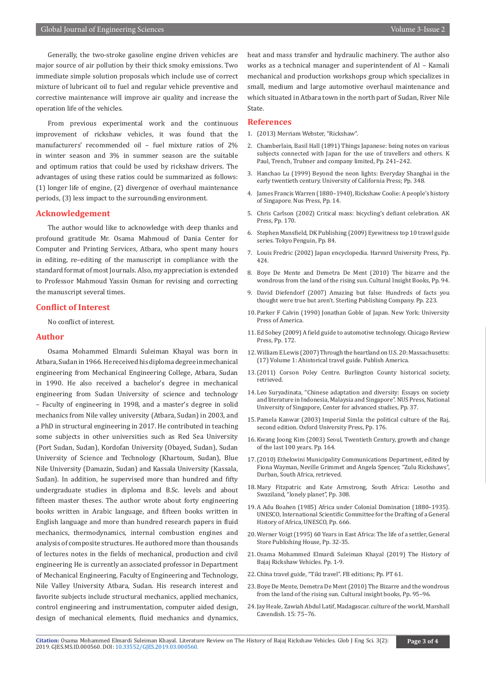Generally, the two-stroke gasoline engine driven vehicles are major source of air pollution by their thick smoky emissions. Two immediate simple solution proposals which include use of correct mixture of lubricant oil to fuel and regular vehicle preventive and corrective maintenance will improve air quality and increase the operation life of the vehicles.

From previous experimental work and the continuous improvement of rickshaw vehicles, it was found that the manufacturers' recommended oil – fuel mixture ratios of 2% in winter season and 3% in summer season are the suitable and optimum ratios that could be used by rickshaw drivers. The advantages of using these ratios could be summarized as follows: (1) longer life of engine, (2) divergence of overhaul maintenance periods, (3) less impact to the surrounding environment.

#### **Acknowledgement**

The author would like to acknowledge with deep thanks and profound gratitude Mr. Osama Mahmoud of Dania Center for Computer and Printing Services, Atbara, who spent many hours in editing, re–editing of the manuscript in compliance with the standard format of most Journals. Also, my appreciation is extended to Professor Mahmoud Yassin Osman for revising and correcting the manuscript several times.

#### **Conflict of Interest**

No conflict of interest.

### **Author**

Osama Mohammed Elmardi Suleiman Khayal was born in Atbara, Sudan in 1966. He received his diploma degree in mechanical engineering from Mechanical Engineering College, Atbara, Sudan in 1990. He also received a bachelor's degree in mechanical engineering from Sudan University of science and technology – Faculty of engineering in 1998, and a master's degree in solid mechanics from Nile valley university (Atbara, Sudan) in 2003, and a PhD in structural engineering in 2017. He contributed in teaching some subjects in other universities such as Red Sea University (Port Sudan, Sudan), Kordofan University (Obayed, Sudan), Sudan University of Science and Technology (Khartoum, Sudan), Blue Nile University (Damazin, Sudan) and Kassala University (Kassala, Sudan). In addition, he supervised more than hundred and fifty undergraduate studies in diploma and B.Sc. levels and about fifteen master theses. The author wrote about forty engineering books written in Arabic language, and fifteen books written in English language and more than hundred research papers in fluid mechanics, thermodynamics, internal combustion engines and analysis of composite structures. He authored more than thousands of lectures notes in the fields of mechanical, production and civil engineering He is currently an associated professor in Department of Mechanical Engineering, Faculty of Engineering and Technology, Nile Valley University Atbara, Sudan. His research interest and favorite subjects include structural mechanics, applied mechanics, control engineering and instrumentation, computer aided design, design of mechanical elements, fluid mechanics and dynamics,

heat and mass transfer and hydraulic machinery. The author also works as a technical manager and superintendent of Al – Kamali mechanical and production workshops group which specializes in small, medium and large automotive overhaul maintenance and which situated in Atbara town in the north part of Sudan, River Nile State.

#### **References**

- 1. (2013) Merriam Webster, "Rickshaw".
- 2. [Chamberlain, Basil Hall \(1891\) Things Japanese: being notes on various](https://archive.org/details/cu31924011199340/page/n8)  [subjects connected with Japan for the use of travellers and others. K](https://archive.org/details/cu31924011199340/page/n8)  [Paul, Trench, Trubner and company limited, Pp. 241–242.](https://archive.org/details/cu31924011199340/page/n8)
- 3. Hanchao Lu (1999) Beyond the neon lights: Everyday Shanghai in the early twentieth century. University of California Press; Pp. 348.
- 4. James Francis Warren (1880–1940), Rickshaw Coolie: A people's history of Singapore. Nus Press, Pp. 14.
- 5. Chris Carlson (2002) Critical mass: bicycling's defiant celebration. AK Press, Pp. 170.
- 6. Stephen Mansfield, DK Publishing (2009) Eyewitness top 10 travel guide series. Tokyo Penguin, Pp. 84.
- 7. Louis Fredric (2002) Japan encyclopedia. Harvard University Press, Pp. 424.
- 8. Boye De Mente and Demetra De Ment (2010) The bizarre and the wondrous from the land of the rising sun. Cultural Insight Books, Pp. 94.
- 9. David Diefendorf (2007) Amazing but false: Hundreds of facts you thought were true but aren't. Sterling Publishing Company. Pp. 223.
- 10. Parker F Calvin (1990) Jonathan Goble of Japan. New York: University Press of America.
- 11. Ed Sobey (2009) A field guide to automotive technology. Chicago Review Press, Pp. 172.
- 12. William E Lewis (2007) Through the heartland on U.S. 20: Massachusetts: (17) Volume 1: Ahistorical travel guide. Publish America.
- 13.(2011) Corson Poley Centre. Burlington County historical society, retrieved.
- 14. Leo Suryadinata, "Chinese adaptation and diversity: Essays on society and literature in Indonesia, Malaysia and Singapore". NUS Press, National University of Singapore, Center for advanced studies, Pp. 37.
- 15. Pamela Kanwar (2003) Imperial Simla: the political culture of the Raj, second edition. Oxford University Press, Pp. 176.
- 16. Kwang Joong Kim (2003) Seoul, Twentieth Century, growth and change of the last 100 years. Pp. 164.
- 17.(2010) Ethekwini Municipality Communications Department, edited by Fiona Wayman, Neville Grimmet and Angela Spencer, "Zulu Rickshaws", Durban, South Africa, retrieved.
- 18. Mary Fitzpatric and Kate Armstrong, South Africa: Lesotho and Swaziland, "lonely planet", Pp. 308.
- 19. A Adu Boahen (1985) Africa under Colonial Domination (1880–1935). UNESCO, International Scientific Committee for the Drafting of a General History of Africa, UNESCO, Pp. 666.
- 20. Werner Voigt (1995) 60 Years in East Africa: The life of a settler, General Store Publishing House, Pp. 32-35.
- 21. [Osama Mohammed Elmardi Suleiman Khayal \(2019\) The History of](https://www.academia.edu/39698381/The_History_of_Bajaj_Rickshaw_Vehicles)  [Bajaj Rickshaw Vehicles. Pp. 1-9.](https://www.academia.edu/39698381/The_History_of_Bajaj_Rickshaw_Vehicles)
- 22. China travel guide, "Tiki travel". FB editions; Pp. PT 61.
- 23. Boye De Mente, Demetra De Ment (2010) The Bizarre and the wondrous from the land of the rising sun. Cultural insight books, Pp. 95–96.
- 24. Jay Heale, Zawiah Abdul Latif, Madagascar. culture of the world, Marshall Cavendish. 15: 75–76.